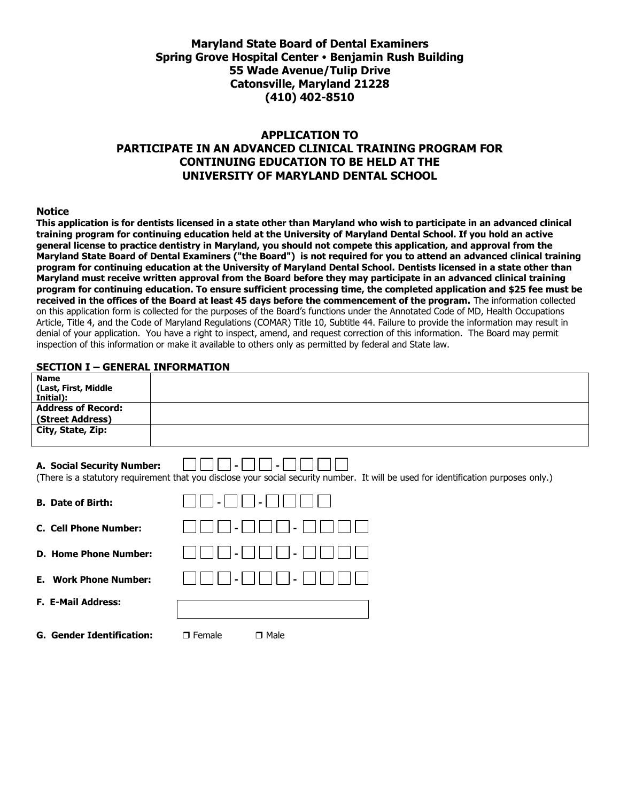# **Maryland State Board of Dental Examiners Spring Grove Hospital Center Benjamin Rush Building 55 Wade Avenue/Tulip Drive Catonsville, Maryland 21228 (410) 402-8510**

# **APPLICATION TO PARTICIPATE IN AN ADVANCED CLINICAL TRAINING PROGRAM FOR CONTINUING EDUCATION TO BE HELD AT THE UNIVERSITY OF MARYLAND DENTAL SCHOOL**

#### **Notice**

**This application is for dentists licensed in a state other than Maryland who wish to participate in an advanced clinical training program for continuing education held at the University of Maryland Dental School. If you hold an active general license to practice dentistry in Maryland, you should not compete this application, and approval from the Maryland State Board of Dental Examiners ("the Board") is not required for you to attend an advanced clinical training program for continuing education at the University of Maryland Dental School. Dentists licensed in a state other than Maryland must receive written approval from the Board before they may participate in an advanced clinical training program for continuing education. To ensure sufficient processing time, the completed application and \$25 fee must be received in the offices of the Board at least 45 days before the commencement of the program.** The information collected on this application form is collected for the purposes of the Board's functions under the Annotated Code of MD, Health Occupations Article, Title 4, and the Code of Maryland Regulations (COMAR) Title 10, Subtitle 44. Failure to provide the information may result in denial of your application. You have a right to inspect, amend, and request correction of this information. The Board may permit inspection of this information or make it available to others only as permitted by federal and State law.

### **SECTION I – GENERAL INFORMATION**

| <b>Name</b><br>(Last, First, Middle<br>Initial): |                                                                                                                                     |
|--------------------------------------------------|-------------------------------------------------------------------------------------------------------------------------------------|
| <b>Address of Record:</b><br>(Street Address)    |                                                                                                                                     |
| City, State, Zip:                                |                                                                                                                                     |
| A. Social Security Number:                       | (There is a statutory requirement that you disclose your social security number. It will be used for identification purposes only.) |
| <b>B.</b> Date of Birth:                         |                                                                                                                                     |
| <b>C. Cell Phone Number:</b>                     |                                                                                                                                     |
| <b>D. Home Phone Number:</b>                     |                                                                                                                                     |
| <b>Work Phone Number:</b><br>Е.                  |                                                                                                                                     |

| <b>F. E-Mail Address:</b> |  |
|---------------------------|--|
|                           |  |

**G. Gender Identification: D. Female D. Male**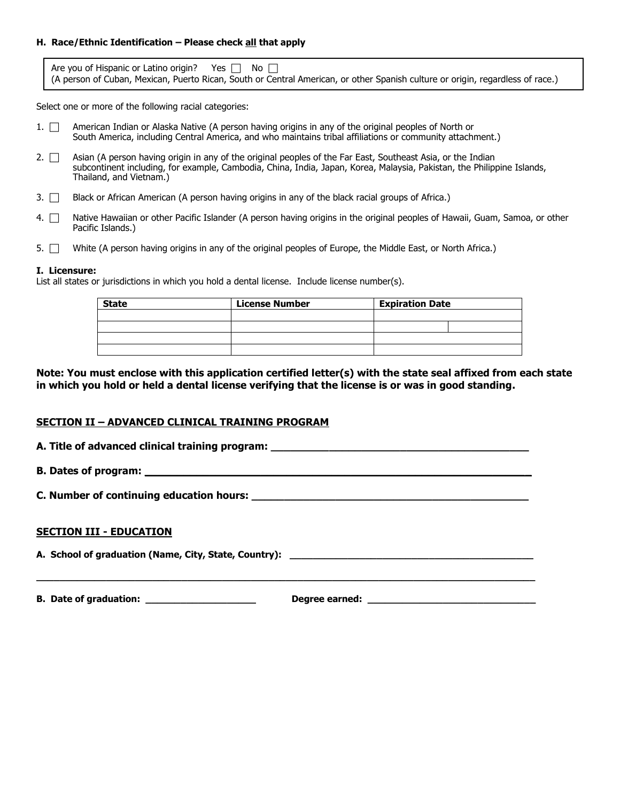## **H. Race/Ethnic Identification – Please check all that apply**

| Are you of Hispanic or Latino origin? Yes $\Box$ No $\Box$                                                                     |  |  |  |
|--------------------------------------------------------------------------------------------------------------------------------|--|--|--|
| (A person of Cuban, Mexican, Puerto Rican, South or Central American, or other Spanish culture or origin, regardless of race.) |  |  |  |

Select one or more of the following racial categories:

- 1. <sup>American Indian or Alaska Native (A person having origins in any of the original peoples of North or</sup> South America, including Central America, and who maintains tribal affiliations or community attachment.)
- 2.  $\Box$  Asian (A person having origin in any of the original peoples of the Far East, Southeast Asia, or the Indian subcontinent including, for example, Cambodia, China, India, Japan, Korea, Malaysia, Pakistan, the Philippine Islands, Thailand, and Vietnam.)
- 3.  $\Box$  Black or African American (A person having origins in any of the black racial groups of Africa.)
- 4. <sup>Native</sup> Hawaiian or other Pacific Islander (A person having origins in the original peoples of Hawaii, Guam, Samoa, or other Pacific Islands.)
- 5.  $\Box$  White (A person having origins in any of the original peoples of Europe, the Middle East, or North Africa.)

### **I. Licensure:**

List all states or jurisdictions in which you hold a dental license. Include license number(s).

| <b>State</b> | <b>License Number</b> | <b>Expiration Date</b> |  |
|--------------|-----------------------|------------------------|--|
|              |                       |                        |  |
|              |                       |                        |  |
|              |                       |                        |  |
|              |                       |                        |  |

## **Note: You must enclose with this application certified letter(s) with the state seal affixed from each state in which you hold or held a dental license verifying that the license is or was in good standing.**

# **SECTION II – ADVANCED CLINICAL TRAINING PROGRAM**

| A. Title of advanced clinical training program: |  |  |
|-------------------------------------------------|--|--|
|                                                 |  |  |

**B. Dates of program: \_\_\_\_\_\_\_\_\_\_\_\_\_\_\_\_\_\_\_\_\_\_\_\_\_\_\_\_\_\_\_\_\_\_\_\_\_\_\_\_\_\_\_\_\_\_\_\_\_\_\_\_\_\_\_\_\_\_\_\_**

**C. Number of continuing education hours: \_\_\_\_\_\_\_\_\_\_\_\_\_\_\_\_\_\_\_\_\_\_\_\_\_\_\_\_\_\_\_\_\_\_\_\_\_\_\_\_\_\_\_**

### **SECTION III - EDUCATION**

**A. School of graduation (Name, City, State, Country): \_\_\_\_\_\_\_\_\_\_\_\_\_\_\_\_\_\_\_\_\_\_\_\_\_\_\_\_\_\_\_\_\_\_\_\_\_\_\_\_\_\_**

**B. Date of graduation: \_\_\_\_\_\_\_\_\_\_\_\_\_\_\_\_\_\_\_ Degree earned: \_\_\_\_\_\_\_\_\_\_\_\_\_\_\_\_\_\_\_\_\_\_\_\_\_\_\_\_\_**

**\_\_\_\_\_\_\_\_\_\_\_\_\_\_\_\_\_\_\_\_\_\_\_\_\_\_\_\_\_\_\_\_\_\_\_\_\_\_\_\_\_\_\_\_\_\_\_\_\_\_\_\_\_\_\_\_\_\_\_\_\_\_\_\_\_\_\_\_\_\_\_\_\_\_\_\_\_\_\_\_\_\_\_\_\_\_**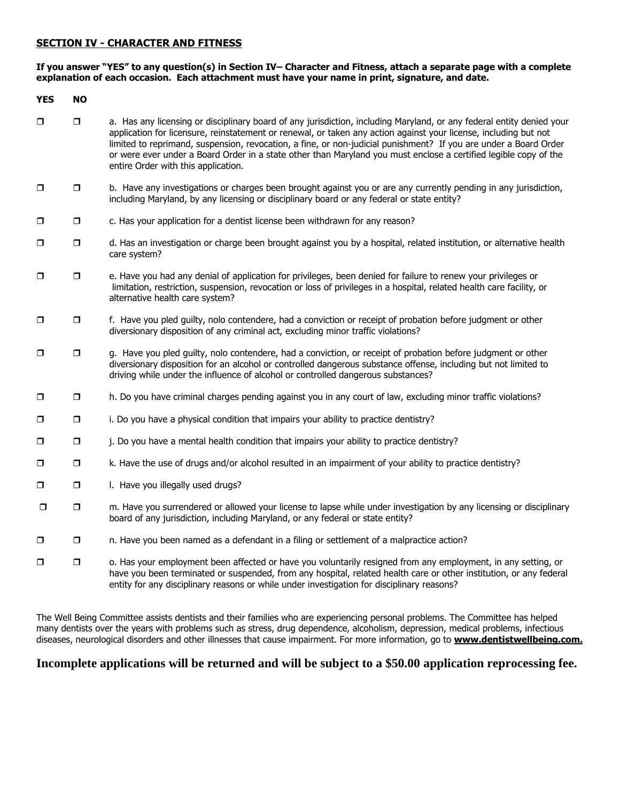## **SECTION IV - CHARACTER AND FITNESS**

### **If you answer "YES" to any question(s) in Section IV– Character and Fitness, attach a separate page with a complete explanation of each occasion. Each attachment must have your name in print, signature, and date.**

| <b>YES</b> | <b>NO</b> |                                                                                                                                                                                                                                                                                                                                                                                                                                                                                                                          |
|------------|-----------|--------------------------------------------------------------------------------------------------------------------------------------------------------------------------------------------------------------------------------------------------------------------------------------------------------------------------------------------------------------------------------------------------------------------------------------------------------------------------------------------------------------------------|
| $\Box$     | $\Box$    | a. Has any licensing or disciplinary board of any jurisdiction, including Maryland, or any federal entity denied your<br>application for licensure, reinstatement or renewal, or taken any action against your license, including but not<br>limited to reprimand, suspension, revocation, a fine, or non-judicial punishment? If you are under a Board Order<br>or were ever under a Board Order in a state other than Maryland you must enclose a certified legible copy of the<br>entire Order with this application. |
| $\Box$     | $\Box$    | b. Have any investigations or charges been brought against you or are any currently pending in any jurisdiction,<br>including Maryland, by any licensing or disciplinary board or any federal or state entity?                                                                                                                                                                                                                                                                                                           |
| $\Box$     | $\Box$    | c. Has your application for a dentist license been withdrawn for any reason?                                                                                                                                                                                                                                                                                                                                                                                                                                             |
| $\Box$     | $\Box$    | d. Has an investigation or charge been brought against you by a hospital, related institution, or alternative health<br>care system?                                                                                                                                                                                                                                                                                                                                                                                     |
| $\Box$     | $\Box$    | e. Have you had any denial of application for privileges, been denied for failure to renew your privileges or<br>limitation, restriction, suspension, revocation or loss of privileges in a hospital, related health care facility, or<br>alternative health care system?                                                                                                                                                                                                                                                |
| $\Box$     | $\Box$    | f. Have you pled guilty, nolo contendere, had a conviction or receipt of probation before judgment or other<br>diversionary disposition of any criminal act, excluding minor traffic violations?                                                                                                                                                                                                                                                                                                                         |
| $\Box$     | $\Box$    | g. Have you pled guilty, nolo contendere, had a conviction, or receipt of probation before judgment or other<br>diversionary disposition for an alcohol or controlled dangerous substance offense, including but not limited to<br>driving while under the influence of alcohol or controlled dangerous substances?                                                                                                                                                                                                      |
| $\Box$     | $\Box$    | h. Do you have criminal charges pending against you in any court of law, excluding minor traffic violations?                                                                                                                                                                                                                                                                                                                                                                                                             |
| $\Box$     | $\Box$    | i. Do you have a physical condition that impairs your ability to practice dentistry?                                                                                                                                                                                                                                                                                                                                                                                                                                     |
| $\Box$     | $\Box$    | j. Do you have a mental health condition that impairs your ability to practice dentistry?                                                                                                                                                                                                                                                                                                                                                                                                                                |
| $\Box$     | $\Box$    | k. Have the use of drugs and/or alcohol resulted in an impairment of your ability to practice dentistry?                                                                                                                                                                                                                                                                                                                                                                                                                 |
| $\Box$     | $\Box$    | I. Have you illegally used drugs?                                                                                                                                                                                                                                                                                                                                                                                                                                                                                        |
| $\Box$     | $\Box$    | m. Have you surrendered or allowed your license to lapse while under investigation by any licensing or disciplinary<br>board of any jurisdiction, including Maryland, or any federal or state entity?                                                                                                                                                                                                                                                                                                                    |
| $\Box$     | $\Box$    | n. Have you been named as a defendant in a filing or settlement of a malpractice action?                                                                                                                                                                                                                                                                                                                                                                                                                                 |
| $\Box$     | $\Box$    | o. Has your employment been affected or have you voluntarily resigned from any employment, in any setting, or<br>have you been terminated or suspended, from any hospital, related health care or other institution, or any federal<br>entity for any disciplinary reasons or while under investigation for disciplinary reasons?                                                                                                                                                                                        |

The Well Being Committee assists dentists and their families who are experiencing personal problems. The Committee has helped many dentists over the years with problems such as stress, drug dependence, alcoholism, depression, medical problems, infectious diseases, neurological disorders and other illnesses that cause impairment. For more information, go to **www.dentistwellbeing.com.**

# **Incomplete applications will be returned and will be subject to a \$50.00 application reprocessing fee.**